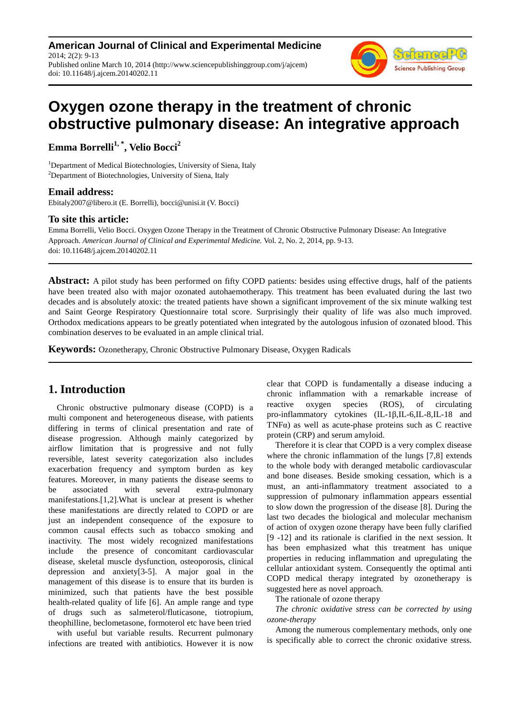**American Journal of Clinical and Experimental Medicine** 2014; 2(2): 9-13 Published online March 10, 2014 (http://www.sciencepublishinggroup.com/j/ajcem) doi: 10.11648/j.ajcem.20140202.11



# **Oxygen ozone therapy in the treatment of chronic obstructive pulmonary disease: An integrative approach**

**Emma Borrelli1, \*, Velio Bocci<sup>2</sup>**

<sup>1</sup>Department of Medical Biotechnologies, University of Siena, Italy <sup>2</sup>Department of Biotechnologies, University of Siena, Italy

#### **Email address:**

Ebitaly2007@libero.it (E. Borrelli), bocci@unisi.it (V. Bocci)

#### **To site this article:**

Emma Borrelli, Velio Bocci. Oxygen Ozone Therapy in the Treatment of Chronic Obstructive Pulmonary Disease: An Integrative Approach. *American Journal of Clinical and Experimental Medicine.* Vol. 2, No. 2, 2014, pp. 9-13. doi: 10.11648/j.ajcem.20140202.11

**Abstract:** A pilot study has been performed on fifty COPD patients: besides using effective drugs, half of the patients have been treated also with major ozonated autohaemotherapy. This treatment has been evaluated during the last two decades and is absolutely atoxic: the treated patients have shown a significant improvement of the six minute walking test and Saint George Respiratory Questionnaire total score. Surprisingly their quality of life was also much improved. Orthodox medications appears to be greatly potentiated when integrated by the autologous infusion of ozonated blood. This combination deserves to be evaluated in an ample clinical trial.

**Keywords:** Ozonetherapy, Chronic Obstructive Pulmonary Disease, Oxygen Radicals

# **1. Introduction**

Chronic obstructive pulmonary disease (COPD) is a multi component and heterogeneous disease, with patients differing in terms of clinical presentation and rate of disease progression. Although mainly categorized by airflow limitation that is progressive and not fully reversible, latest severity categorization also includes exacerbation frequency and symptom burden as key features. Moreover, in many patients the disease seems to be associated with several extra-pulmonary manifestations.[1,2].What is unclear at present is whether these manifestations are directly related to COPD or are just an independent consequence of the exposure to common causal effects such as tobacco smoking and inactivity. The most widely recognized manifestations include the presence of concomitant cardiovascular disease, skeletal muscle dysfunction, osteoporosis, clinical depression and anxiety[3-5]. A major goal in the management of this disease is to ensure that its burden is minimized, such that patients have the best possible health-related quality of life [6]. An ample range and type of drugs such as salmeterol/fluticasone, tiotropium, theophilline, beclometasone, formoterol etc have been tried

with useful but variable results. Recurrent pulmonary infections are treated with antibiotics. However it is now clear that COPD is fundamentally a disease inducing a chronic inflammation with a remarkable increase of reactive oxygen species (ROS), of circulating pro-inflammatory cytokines (IL-1β,IL-6,IL-8,IL-18 and TNFα) as well as acute-phase proteins such as C reactive protein (CRP) and serum amyloid.

Therefore it is clear that COPD is a very complex disease where the chronic inflammation of the lungs [7,8] extends to the whole body with deranged metabolic cardiovascular and bone diseases. Beside smoking cessation, which is a must, an anti-inflammatory treatment associated to a suppression of pulmonary inflammation appears essential to slow down the progression of the disease [8]. During the last two decades the biological and molecular mechanism of action of oxygen ozone therapy have been fully clarified [9 -12] and its rationale is clarified in the next session. It has been emphasized what this treatment has unique properties in reducing inflammation and upregulating the cellular antioxidant system. Consequently the optimal anti COPD medical therapy integrated by ozonetherapy is suggested here as novel approach.

The rationale of ozone therapy

*The chronic oxidative stress can be corrected by using ozone-therapy* 

Among the numerous complementary methods, only one is specifically able to correct the chronic oxidative stress.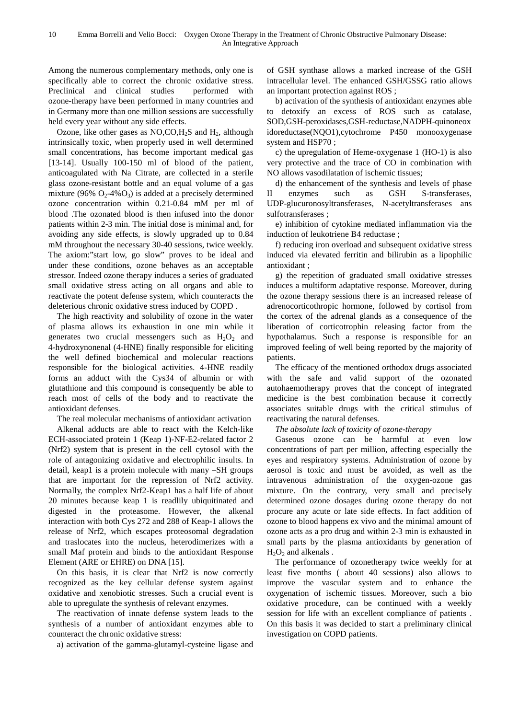Among the numerous complementary methods, only one is specifically able to correct the chronic oxidative stress. Preclinical and clinical studies performed with ozone-therapy have been performed in many countries and in Germany more than one million sessions are successfully held every year without any side effects.

Ozone, like other gases as  $NO, CO, H<sub>2</sub>S$  and  $H<sub>2</sub>$ , although intrinsically toxic, when properly used in well determined small concentrations, has become important medical gas [13-14]. Usually 100-150 ml of blood of the patient, anticoagulated with Na Citrate, are collected in a sterile glass ozone-resistant bottle and an equal volume of a gas mixture (96%  $O_2$ -4% $O_3$ ) is added at a precisely determined ozone concentration within 0.21-0.84 mM per ml of blood .The ozonated blood is then infused into the donor patients within 2-3 min. The initial dose is minimal and, for avoiding any side effects, is slowly upgraded up to 0.84 mM throughout the necessary 30-40 sessions, twice weekly. The axiom:"start low, go slow" proves to be ideal and under these conditions, ozone behaves as an acceptable stressor. Indeed ozone therapy induces a series of graduated small oxidative stress acting on all organs and able to reactivate the potent defense system, which counteracts the deleterious chronic oxidative stress induced by COPD .

The high reactivity and solubility of ozone in the water of plasma allows its exhaustion in one min while it generates two crucial messengers such as  $H_2O_2$  and 4-hydroxynonenal (4-HNE) finally responsible for eliciting the well defined biochemical and molecular reactions responsible for the biological activities. 4-HNE readily forms an adduct with the Cys34 of albumin or with glutathione and this compound is consequently be able to reach most of cells of the body and to reactivate the antioxidant defenses.

The real molecular mechanisms of antioxidant activation Alkenal adducts are able to react with the Kelch-like ECH-associated protein 1 (Keap 1)-NF-E2-related factor 2 (Nrf2) system that is present in the cell cytosol with the role of antagonizing oxidative and electrophilic insults. In detail, keap1 is a protein molecule with many –SH groups that are important for the repression of Nrf2 activity. Normally, the complex Nrf2-Keap1 has a half life of about 20 minutes because keap 1 is readlily ubiquitinated and digested in the proteasome. However, the alkenal interaction with both Cys 272 and 288 of Keap-1 allows the release of Nrf2, which escapes proteosomal degradation and traslocates into the nucleus, heterodimerizes with a small Maf protein and binds to the antioxidant Response Element (ARE or EHRE) on DNA [15].

On this basis, it is clear that Nrf2 is now correctly recognized as the key cellular defense system against oxidative and xenobiotic stresses. Such a crucial event is able to upregulate the synthesis of relevant enzymes.

The reactivation of innate defense system leads to the synthesis of a number of antioxidant enzymes able to counteract the chronic oxidative stress:

a) activation of the gamma-glutamyl-cysteine ligase and

of GSH synthase allows a marked increase of the GSH intracellular level. The enhanced GSH/GSSG ratio allows an important protection against ROS ;

b) activation of the synthesis of antioxidant enzymes able to detoxify an excess of ROS such as catalase, SOD,GSH-peroxidases,GSH-reductase,NADPH-quinoneox idoreductase(NQO1),cytochrome P450 monooxygenase system and HSP70 ;

c) the upregulation of Heme-oxygenase 1 (HO-1) is also very protective and the trace of CO in combination with NO allows vasodilatation of ischemic tissues;

d) the enhancement of the synthesis and levels of phase II enzymes such as GSH S-transferases, UDP-glucuronosyltransferases, N-acetyltransferases ans sulfotransferases ;

e) inhibition of cytokine mediated inflammation via the induction of leukotriene B4 reductase ;

f) reducing iron overload and subsequent oxidative stress induced via elevated ferritin and bilirubin as a lipophilic antioxidant ;

g) the repetition of graduated small oxidative stresses induces a multiform adaptative response. Moreover, during the ozone therapy sessions there is an increased release of adrenocorticothropic hormone, followed by cortisol from the cortex of the adrenal glands as a consequence of the liberation of corticotrophin releasing factor from the hypothalamus. Such a response is responsible for an improved feeling of well being reported by the majority of patients.

The efficacy of the mentioned orthodox drugs associated with the safe and valid support of the ozonated autohaemotherapy proves that the concept of integrated medicine is the best combination because it correctly associates suitable drugs with the critical stimulus of reactivating the natural defenses.

*The absolute lack of toxicity of ozone-therapy* 

Gaseous ozone can be harmful at even low concentrations of part per million, affecting especially the eyes and respiratory systems. Administration of ozone by aerosol is toxic and must be avoided, as well as the intravenous administration of the oxygen-ozone gas mixture. On the contrary, very small and precisely determined ozone dosages during ozone therapy do not procure any acute or late side effects. In fact addition of ozone to blood happens ex vivo and the minimal amount of ozone acts as a pro drug and within 2-3 min is exhausted in small parts by the plasma antioxidants by generation of  $H<sub>2</sub>O<sub>2</sub>$  and alkenals.

The performance of ozonetherapy twice weekly for at least five months ( about 40 sessions) also allows to improve the vascular system and to enhance the oxygenation of ischemic tissues. Moreover, such a bio oxidative procedure, can be continued with a weekly session for life with an excellent compliance of patients . On this basis it was decided to start a preliminary clinical investigation on COPD patients.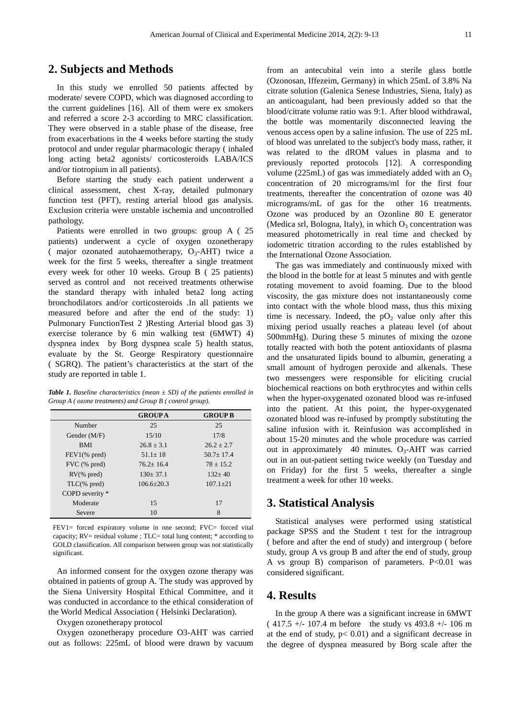### **2. Subjects and Methods**

In this study we enrolled 50 patients affected by moderate/ severe COPD, which was diagnosed according to the current guidelines [16]. All of them were ex smokers and referred a score 2-3 according to MRC classification. They were observed in a stable phase of the disease, free from exacerbations in the 4 weeks before starting the study protocol and under regular pharmacologic therapy ( inhaled long acting beta2 agonists/ corticosteroids LABA/ICS and/or tiotropium in all patients).

Before starting the study each patient underwent a clinical assessment, chest X-ray, detailed pulmonary function test (PFT), resting arterial blood gas analysis. Exclusion criteria were unstable ischemia and uncontrolled pathology.

Patients were enrolled in two groups: group A ( 25 patients) underwent a cycle of oxygen ozonetherapy ( major ozonated autohaemotherapy,  $O_3$ -AHT) twice a week for the first 5 weeks, thereafter a single treatment every week for other 10 weeks. Group B ( 25 patients) served as control and not received treatments otherwise the standard therapy with inhaled beta2 long acting bronchodilators and/or corticosteroids .In all patients we measured before and after the end of the study: 1) Pulmonary FunctionTest 2 )Resting Arterial blood gas 3) exercise tolerance by 6 min walking test (6MWT) 4) dyspnea index by Borg dyspnea scale 5) health status, evaluate by the St. George Respiratory questionnaire ( SGRQ). The patient's characteristics at the start of the study are reported in table 1.

*Table 1. Baseline characteristics (mean*  $\pm$  *SD) of the patients enrolled in Group A ( ozone treatments) and Group B ( control group).* 

|                       | <b>GROUPA</b>  | <b>GROUP B</b> |
|-----------------------|----------------|----------------|
| Number                | 25             | 25             |
| Gender (M/F)          | 15/10          | 17/8           |
| <b>BMI</b>            | $26.8 + 3.1$   | $26.2 + 2.7$   |
| $FEV1(\% pred)$       | $51.1 + 18$    | $50.7 + 17.4$  |
| FVC (% pred)          | $76.2 + 16.4$  | $78 + 15.2$    |
| $RV$ (% pred)         | $130+37.1$     | $132+40$       |
| $TLC(% \theta)$ pred) | $106.6 + 20.3$ | $107.1 + 21$   |
| COPD severity *       |                |                |
| Moderate              | 15             | 17             |
| Severe                | 10             | 8              |

FEV1= forced expiratory volume in one second; FVC= forced vital capacity; RV= residual volume ; TLC= total lung content; \* according to GOLD classification. All comparison between group was not statistically significant.

An informed consent for the oxygen ozone therapy was obtained in patients of group A. The study was approved by the Siena University Hospital Ethical Committee, and it was conducted in accordance to the ethical consideration of the World Medical Association ( Helsinki Declaration).

Oxygen ozonetherapy protocol

Oxygen ozonetherapy procedure O3-AHT was carried out as follows: 225mL of blood were drawn by vacuum from an antecubital vein into a sterile glass bottle (Ozonosan, Iffezeim, Germany) in which 25mL of 3.8% Na citrate solution (Galenica Senese Industries, Siena, Italy) as an anticoagulant, had been previously added so that the blood/citrate volume ratio was 9:1. After blood withdrawal, the bottle was momentarily disconnected leaving the venous access open by a saline infusion. The use of 225 mL of blood was unrelated to the subject's body mass, rather, it was related to the dROM values in plasma and to previously reported protocols [12]. A corresponding volume (225mL) of gas was immediately added with an  $O_3$ concentration of 20 micrograms/ml for the first four treatments, thereafter the concentration of ozone was 40 micrograms/mL of gas for the other 16 treatments. Ozone was produced by an Ozonline 80 E generator (Medica srl, Bologna, Italy), in which  $O_3$  concentration was measured photometrically in real time and checked by iodometric titration according to the rules established by the International Ozone Association.

The gas was immediately and continuously mixed with the blood in the bottle for at least 5 minutes and with gentle rotating movement to avoid foaming. Due to the blood viscosity, the gas mixture does not instantaneously come into contact with the whole blood mass, thus this mixing time is necessary. Indeed, the  $pO<sub>2</sub>$  value only after this mixing period usually reaches a plateau level (of about 500mmHg). During these 5 minutes of mixing the ozone totally reacted with both the potent antioxidants of plasma and the unsaturated lipids bound to albumin, generating a small amount of hydrogen peroxide and alkenals. These two messengers were responsible for eliciting crucial biochemical reactions on both erythrocytes and within cells when the hyper-oxygenated ozonated blood was re-infused into the patient. At this point, the hyper-oxygenated ozonated blood was re-infused by promptly substituting the saline infusion with it. Reinfusion was accomplished in about 15-20 minutes and the whole procedure was carried out in approximately 40 minutes.  $O_3$ -AHT was carried out in an out-patient setting twice weekly (on Tuesday and on Friday) for the first 5 weeks, thereafter a single treatment a week for other 10 weeks.

#### **3. Statistical Analysis**

Statistical analyses were performed using statistical package SPSS and the Student t test for the intragroup ( before and after the end of study) and intergroup ( before study, group A vs group B and after the end of study, group A vs group B) comparison of parameters. P<0.01 was considered significant.

### **4. Results**

In the group A there was a significant increase in 6MWT ( 417.5 +/- 107.4 m before the study vs 493.8 +/- 106 m at the end of study,  $p < 0.01$ ) and a significant decrease in the degree of dyspnea measured by Borg scale after the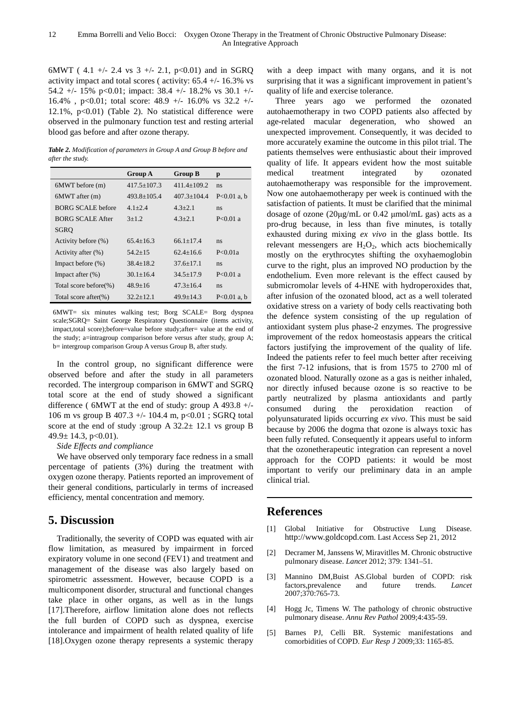6MWT ( 4.1 +/- 2.4 vs 3 +/- 2.1, p<0.01) and in SGRQ activity impact and total scores ( activity:  $65.4 +/- 16.3\%$  vs 54.2 +/- 15% p<0.01; impact: 38.4 +/- 18.2% vs 30.1 +/-16.4% , p<0.01; total score: 48.9 +/- 16.0% vs 32.2 +/- 12.1%,  $p<0.01$ ) (Table 2). No statistical difference were observed in the pulmonary function test and resting arterial blood gas before and after ozone therapy.

*Table 2. Modification of parameters in Group A and Group B before and after the study.* 

|                           | <b>Group A</b>  | <b>Group B</b>  | p             |
|---------------------------|-----------------|-----------------|---------------|
| 6MWT before (m)           | $417.5 + 107.3$ | $411.4+109.2$   | ns            |
| $6MWT$ after $(m)$        | $493.8+105.4$   | $407.3 + 104.4$ | $P<0.01$ a, b |
| <b>BORG SCALE before</b>  | $4.1 + 2.4$     | $4.3 + 2.1$     | ns            |
| <b>BORG SCALE After</b>   | $3+1.2$         | $4.3 + 2.1$     | $P < 0.01$ a  |
| <b>SGRO</b>               |                 |                 |               |
| Activity before (%)       | $65.4 + 16.3$   | $66.1 + 17.4$   | ns            |
| Activity after (%)        | $54.2 + 15$     | $62.4 + 16.6$   | P < 0.01a     |
| Impact before $(\%)$      | $38.4 + 18.2$   | $37.6 + 17.1$   | ns            |
| Impact after $(\%)$       | $30.1 + 16.4$   | $34.5 + 17.9$   | $P < 0.01$ a  |
| Total score before $(\%)$ | $48.9 + 16$     | $47.3 + 16.4$   | ns            |
| Total score after $(\%)$  | $32.2 + 12.1$   | $49.9 + 14.3$   | $P<0.01$ a, b |

6MWT= six minutes walking test; Borg SCALE= Borg dyspnea scale;SGRQ= Saint George Respiratory Questionnaire (items activity, impact,total score);before=value before study;after= value at the end of the study; a=intragroup comparison before versus after study, group A; b= intergroup comparison Group A versus Group B, after study.

In the control group, no significant difference were observed before and after the study in all parameters recorded. The intergroup comparison in 6MWT and SGRQ total score at the end of study showed a significant difference (  $6MWT$  at the end of study: group A 493.8 +/-106 m vs group B 407.3 +/- 104.4 m, p<0.01 ; SGRQ total score at the end of study :group A  $32.2 \pm 12.1$  vs group B  $49.9 \pm 14.3$ , p $< 0.01$ ).

*Side Effects and compliance* 

We have observed only temporary face redness in a small percentage of patients (3%) during the treatment with oxygen ozone therapy. Patients reported an improvement of their general conditions, particularly in terms of increased efficiency, mental concentration and memory.

# **5. Discussion**

Traditionally, the severity of COPD was equated with air flow limitation, as measured by impairment in forced expiratory volume in one second (FEV1) and treatment and management of the disease was also largely based on spirometric assessment. However, because COPD is a multicomponent disorder, structural and functional changes take place in other organs, as well as in the lungs [17].Therefore, airflow limitation alone does not reflects the full burden of COPD such as dyspnea, exercise intolerance and impairment of health related quality of life [18].Oxygen ozone therapy represents a systemic therapy

with a deep impact with many organs, and it is not surprising that it was a significant improvement in patient's quality of life and exercise tolerance.

Three years ago we performed the ozonated autohaemotherapy in two COPD patients also affected by age-related macular degeneration, who showed an unexpected improvement. Consequently, it was decided to more accurately examine the outcome in this pilot trial. The patients themselves were enthusiastic about their improved quality of life. It appears evident how the most suitable medical treatment integrated by ozonated autohaemotherapy was responsible for the improvement. Now one autohaemotherapy per week is continued with the satisfaction of patients. It must be clarified that the minimal dosage of ozone (20µg/mL or 0.42 µmol/mL gas) acts as a pro-drug because, in less than five minutes, is totally exhausted during mixing *ex vivo* in the glass bottle. Its relevant messengers are  $H_2O_2$ , which acts biochemically mostly on the erythrocytes shifting the oxyhaemoglobin curve to the right, plus an improved NO production by the endothelium. Even more relevant is the effect caused by submicromolar levels of 4-HNE with hydroperoxides that, after infusion of the ozonated blood, act as a well tolerated oxidative stress on a variety of body cells reactivating both the defence system consisting of the up regulation of antioxidant system plus phase-2 enzymes. The progressive improvement of the redox homeostasis appears the critical factors justifying the improvement of the quality of life. Indeed the patients refer to feel much better after receiving the first 7-12 infusions, that is from 1575 to 2700 ml of ozonated blood. Naturally ozone as a gas is neither inhaled, nor directly infused because ozone is so reactive to be partly neutralized by plasma antioxidants and partly consumed during the peroxidation reaction of polyunsaturated lipids occurring *ex vivo*. This must be said because by 2006 the dogma that ozone is always toxic has been fully refuted. Consequently it appears useful to inform that the ozonetherapeutic integration can represent a novel approach for the COPD patients: it would be most important to verify our preliminary data in an ample clinical trial.

# **References**

- [1] Global Initiative for Obstructive Lung Disease. http://www.goldcopd.com. Last Access Sep 21, 2012
- [2] Decramer M, Janssens W, Miravitlles M. Chronic obstructive pulmonary disease. *Lancet* 2012; 379: 1341–51.
- [3] Mannino DM,Buist AS.Global burden of COPD: risk factors,prevalence and future trends. *Lancet* 2007;370:765-73.
- [4] Hogg Jc, Timens W. The pathology of chronic obstructive pulmonary disease. *Annu Rev Pathol* 2009;4:435-59.
- [5] Barnes PJ, Celli BR. Systemic manifestations and comorbidities of COPD. *Eur Resp J* 2009;33: 1165-85.